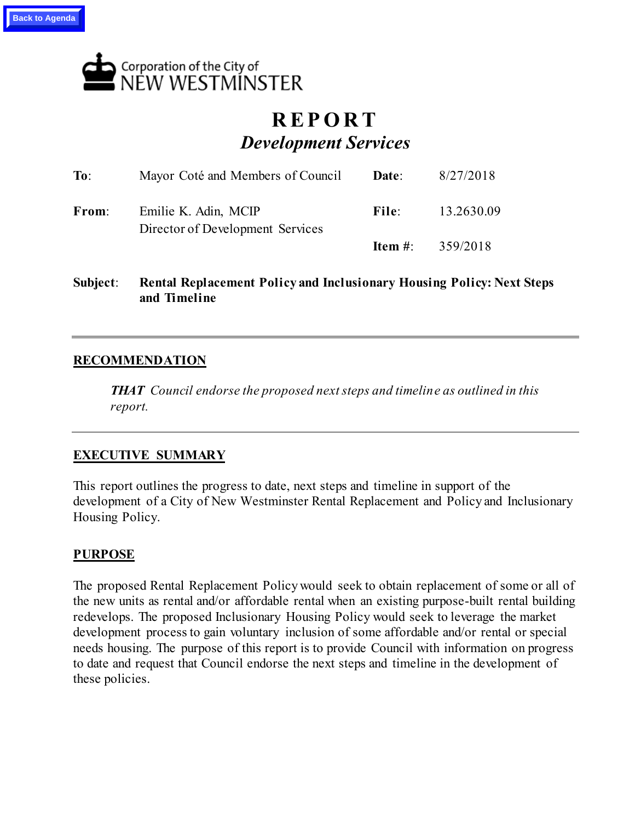

# **R E P O R T** *Development Services*

| To:   | Mayor Coté and Members of Council                        | Date:   | 8/27/2018  |
|-------|----------------------------------------------------------|---------|------------|
| From: | Emilie K. Adin, MCIP<br>Director of Development Services | File: - | 13.2630.09 |
|       |                                                          | Item #: | 359/2018   |

**Subject**: **Rental Replacement Policy and Inclusionary Housing Policy: Next Steps and Timeline**

# **RECOMMENDATION**

*THAT Council endorse the proposed next steps and timeline as outlined in this report.* 

## **EXECUTIVE SUMMARY**

This report outlines the progress to date, next steps and timeline in support of the development of a City of New Westminster Rental Replacement and Policy and Inclusionary Housing Policy.

## **PURPOSE**

The proposed Rental Replacement Policy would seek to obtain replacement of some or all of the new units as rental and/or affordable rental when an existing purpose-built rental building redevelops. The proposed Inclusionary Housing Policy would seek to leverage the market development process to gain voluntary inclusion of some affordable and/or rental or special needs housing. The purpose of this report is to provide Council with information on progress to date and request that Council endorse the next steps and timeline in the development of these policies.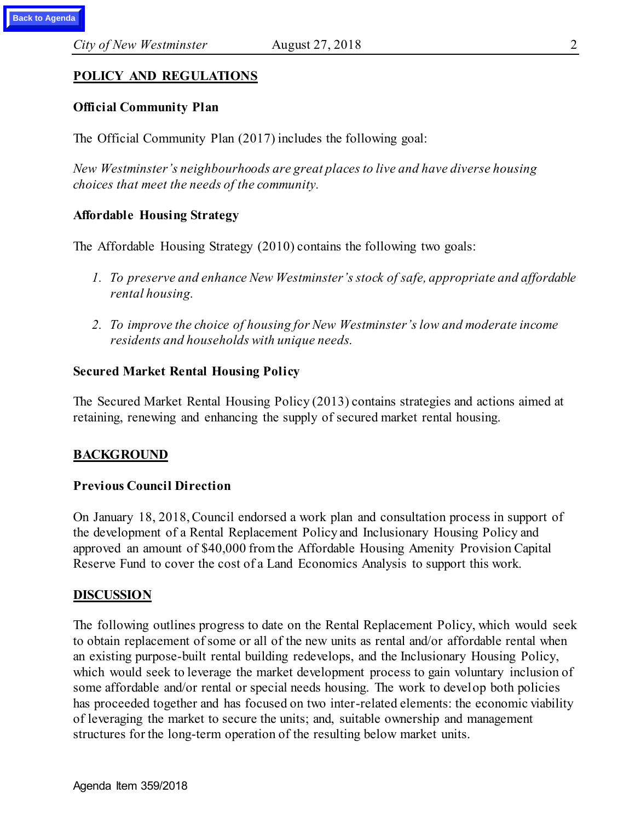# **POLICY AND REGULATIONS**

## **Official Community Plan**

The Official Community Plan (2017) includes the following goal:

*New Westminster's neighbourhoods are great places to live and have diverse housing choices that meet the needs of the community.*

# **Affordable Housing Strategy**

The Affordable Housing Strategy (2010) contains the following two goals:

- *1. To preserve and enhance New Westminster's stock of safe, appropriate and affordable rental housing.*
- *2. To improve the choice of housing for New Westminster's low and moderate income residents and households with unique needs.*

## **Secured Market Rental Housing Policy**

The Secured Market Rental Housing Policy (2013) contains strategies and actions aimed at retaining, renewing and enhancing the supply of secured market rental housing.

## **BACKGROUND**

#### **Previous Council Direction**

On January 18, 2018, Council endorsed a work plan and consultation process in support of the development of a Rental Replacement Policy and Inclusionary Housing Policy and approved an amount of \$40,000 from the Affordable Housing Amenity Provision Capital Reserve Fund to cover the cost of a Land Economics Analysis to support this work.

#### **DISCUSSION**

The following outlines progress to date on the Rental Replacement Policy, which would seek to obtain replacement of some or all of the new units as rental and/or affordable rental when an existing purpose-built rental building redevelops, and the Inclusionary Housing Policy, which would seek to leverage the market development process to gain voluntary inclusion of some affordable and/or rental or special needs housing. The work to develop both policies has proceeded together and has focused on two inter-related elements: the economic viability of leveraging the market to secure the units; and, suitable ownership and management structures for the long-term operation of the resulting below market units.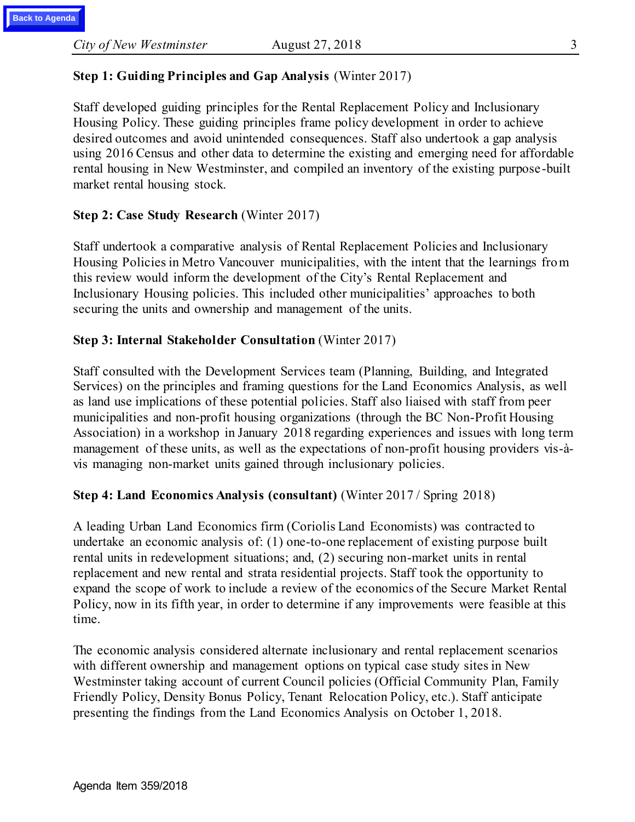# **Step 1: Guiding Principles and Gap Analysis** (Winter 2017)

Staff developed guiding principles for the Rental Replacement Policy and Inclusionary Housing Policy. These guiding principles frame policy development in order to achieve desired outcomes and avoid unintended consequences. Staff also undertook a gap analysis using 2016 Census and other data to determine the existing and emerging need for affordable rental housing in New Westminster, and compiled an inventory of the existing purpose-built market rental housing stock.

## **Step 2: Case Study Research** (Winter 2017)

Staff undertook a comparative analysis of Rental Replacement Policies and Inclusionary Housing Policies in Metro Vancouver municipalities, with the intent that the learnings from this review would inform the development of the City's Rental Replacement and Inclusionary Housing policies. This included other municipalities' approaches to both securing the units and ownership and management of the units.

## **Step 3: Internal Stakeholder Consultation** (Winter 2017)

Staff consulted with the Development Services team (Planning, Building, and Integrated Services) on the principles and framing questions for the Land Economics Analysis, as well as land use implications of these potential policies. Staff also liaised with staff from peer municipalities and non-profit housing organizations (through the BC Non-Profit Housing Association) in a workshop in January 2018 regarding experiences and issues with long term management of these units, as well as the expectations of non-profit housing providers vis-àvis managing non-market units gained through inclusionary policies.

## **Step 4: Land Economics Analysis (consultant)** (Winter 2017 / Spring 2018)

A leading Urban Land Economics firm (Coriolis Land Economists) was contracted to undertake an economic analysis of: (1) one-to-one replacement of existing purpose built rental units in redevelopment situations; and, (2) securing non-market units in rental replacement and new rental and strata residential projects. Staff took the opportunity to expand the scope of work to include a review of the economics of the Secure Market Rental Policy, now in its fifth year, in order to determine if any improvements were feasible at this time.

The economic analysis considered alternate inclusionary and rental replacement scenarios with different ownership and management options on typical case study sites in New Westminster taking account of current Council policies (Official Community Plan, Family Friendly Policy, Density Bonus Policy, Tenant Relocation Policy, etc.). Staff anticipate presenting the findings from the Land Economics Analysis on October 1, 2018.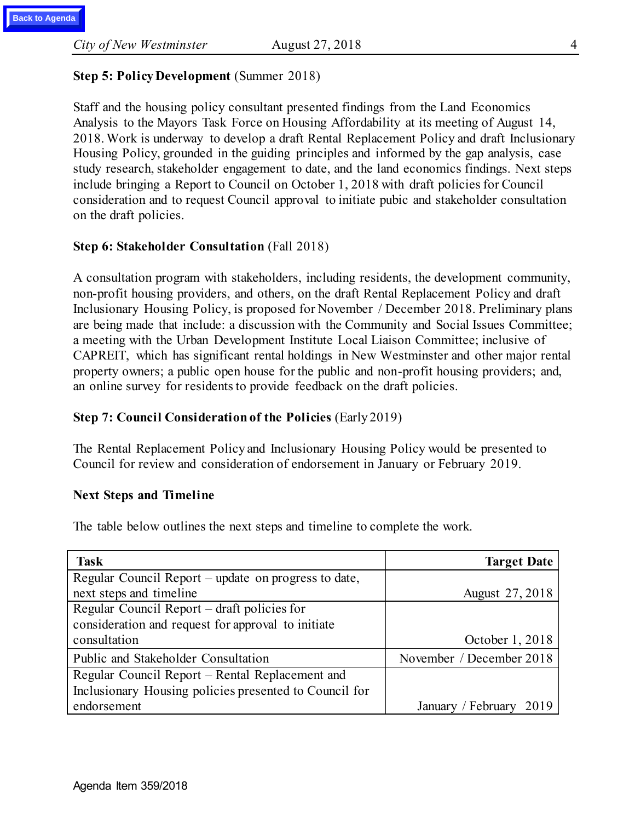## **Step 5: Policy Development** (Summer 2018)

Staff and the housing policy consultant presented findings from the Land Economics Analysis to the Mayors Task Force on Housing Affordability at its meeting of August 14, 2018. Work is underway to develop a draft Rental Replacement Policy and draft Inclusionary Housing Policy, grounded in the guiding principles and informed by the gap analysis, case study research, stakeholder engagement to date, and the land economics findings. Next steps include bringing a Report to Council on October 1, 2018 with draft policies for Council consideration and to request Council approval to initiate pubic and stakeholder consultation on the draft policies.

## **Step 6: Stakeholder Consultation** (Fall 2018)

A consultation program with stakeholders, including residents, the development community, non-profit housing providers, and others, on the draft Rental Replacement Policy and draft Inclusionary Housing Policy, is proposed for November / December 2018. Preliminary plans are being made that include: a discussion with the Community and Social Issues Committee; a meeting with the Urban Development Institute Local Liaison Committee; inclusive of CAPREIT, which has significant rental holdings in New Westminster and other major rental property owners; a public open house for the public and non-profit housing providers; and, an online survey for residents to provide feedback on the draft policies.

## **Step 7: Council Consideration of the Policies** (Early 2019)

The Rental Replacement Policy and Inclusionary Housing Policy would be presented to Council for review and consideration of endorsement in January or February 2019.

#### **Next Steps and Timeline**

The table below outlines the next steps and timeline to complete the work.

| <b>Task</b>                                            | <b>Target Date</b>         |
|--------------------------------------------------------|----------------------------|
| Regular Council Report – update on progress to date,   |                            |
| next steps and timeline                                | August 27, 2018            |
| Regular Council Report – draft policies for            |                            |
| consideration and request for approval to initiate     |                            |
| consultation                                           | October 1, 2018            |
| Public and Stakeholder Consultation                    | November / December 2018   |
| Regular Council Report - Rental Replacement and        |                            |
| Inclusionary Housing policies presented to Council for |                            |
| endorsement                                            | January / February<br>2019 |